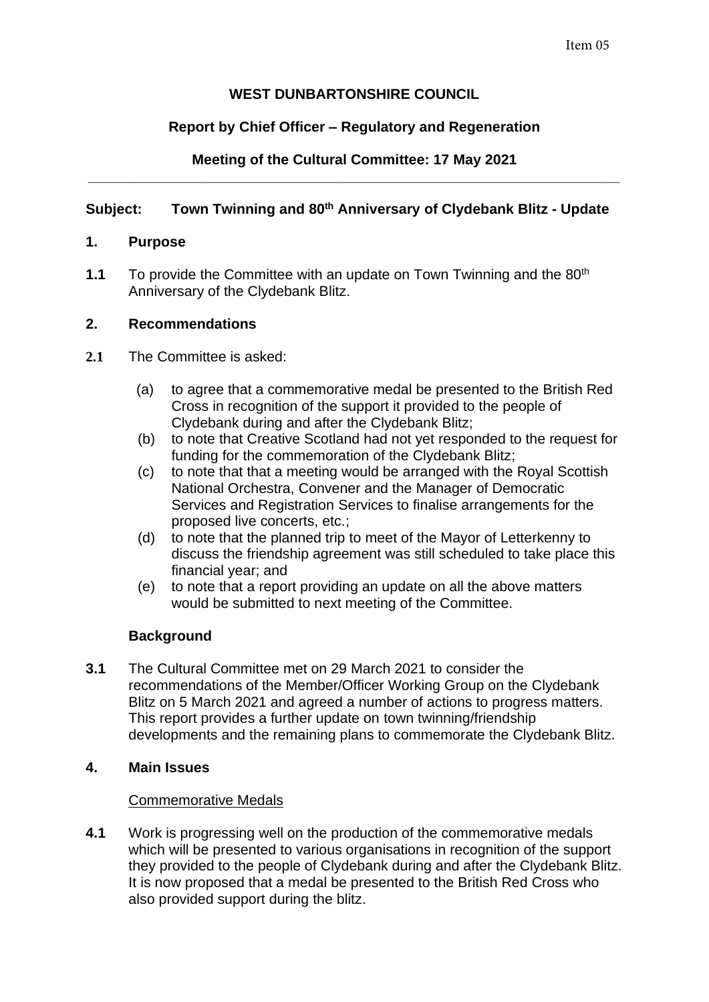# **WEST DUNBARTONSHIRE COUNCIL**

# **Report by Chief Officer – Regulatory and Regeneration**

### **Meeting of the Cultural Committee: 17 May 2021 \_\_\_\_\_\_\_\_\_\_\_\_\_\_\_\_\_\_\_\_\_\_\_\_\_\_\_\_\_\_\_\_\_\_\_\_\_\_\_\_\_\_\_\_\_\_\_\_\_\_\_\_\_\_\_\_\_\_\_\_\_\_\_\_\_\_\_**

# **Subject: Town Twinning and 80th Anniversary of Clydebank Blitz - Update**

## **1. Purpose**

**1.1** To provide the Committee with an update on Town Twinning and the 80<sup>th</sup> Anniversary of the Clydebank Blitz.

## **2. Recommendations**

- **2.1** The Committee is asked:
	- (a) to agree that a commemorative medal be presented to the British Red Cross in recognition of the support it provided to the people of Clydebank during and after the Clydebank Blitz;
	- (b) to note that Creative Scotland had not yet responded to the request for funding for the commemoration of the Clydebank Blitz;
	- (c) to note that that a meeting would be arranged with the Royal Scottish National Orchestra, Convener and the Manager of Democratic Services and Registration Services to finalise arrangements for the proposed live concerts, etc.;
	- (d) to note that the planned trip to meet of the Mayor of Letterkenny to discuss the friendship agreement was still scheduled to take place this financial year; and
	- (e) to note that a report providing an update on all the above matters would be submitted to next meeting of the Committee.

## **Background**

**3.1** The Cultural Committee met on 29 March 2021 to consider the recommendations of the Member/Officer Working Group on the Clydebank Blitz on 5 March 2021 and agreed a number of actions to progress matters. This report provides a further update on town twinning/friendship developments and the remaining plans to commemorate the Clydebank Blitz.

## **4. Main Issues**

### Commemorative Medals

**4.1** Work is progressing well on the production of the commemorative medals which will be presented to various organisations in recognition of the support they provided to the people of Clydebank during and after the Clydebank Blitz. It is now proposed that a medal be presented to the British Red Cross who also provided support during the blitz.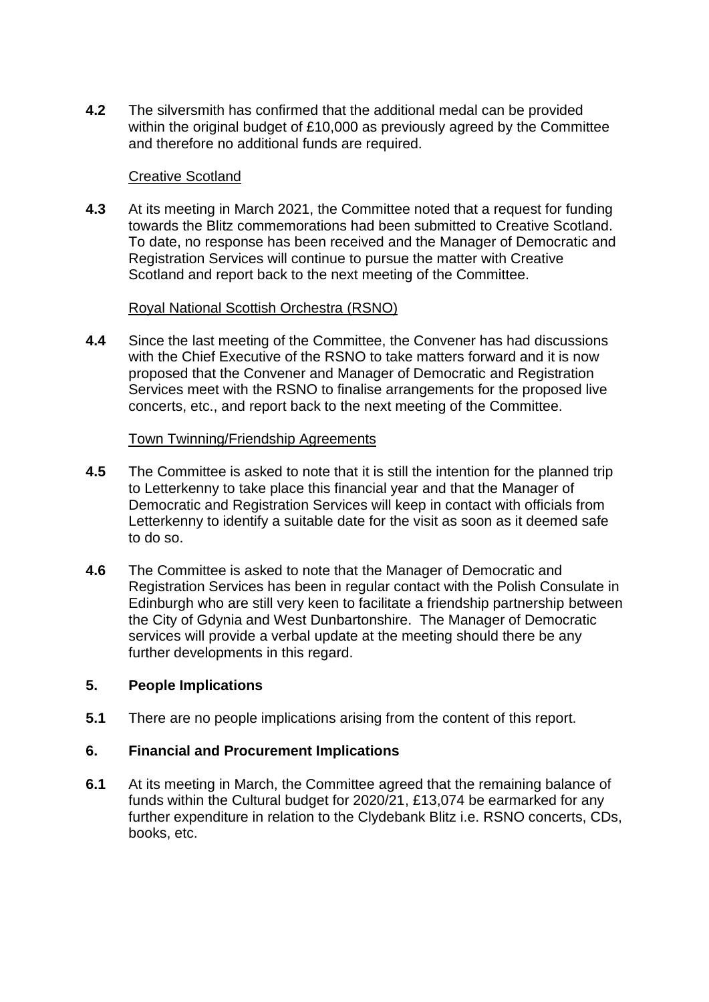**4.2** The silversmith has confirmed that the additional medal can be provided within the original budget of £10,000 as previously agreed by the Committee and therefore no additional funds are required.

## Creative Scotland

**4.3** At its meeting in March 2021, the Committee noted that a request for funding towards the Blitz commemorations had been submitted to Creative Scotland. To date, no response has been received and the Manager of Democratic and Registration Services will continue to pursue the matter with Creative Scotland and report back to the next meeting of the Committee.

## Royal National Scottish Orchestra (RSNO)

**4.4** Since the last meeting of the Committee, the Convener has had discussions with the Chief Executive of the RSNO to take matters forward and it is now proposed that the Convener and Manager of Democratic and Registration Services meet with the RSNO to finalise arrangements for the proposed live concerts, etc., and report back to the next meeting of the Committee.

### Town Twinning/Friendship Agreements

- **4.5** The Committee is asked to note that it is still the intention for the planned trip to Letterkenny to take place this financial year and that the Manager of Democratic and Registration Services will keep in contact with officials from Letterkenny to identify a suitable date for the visit as soon as it deemed safe to do so.
- **4.6** The Committee is asked to note that the Manager of Democratic and Registration Services has been in regular contact with the Polish Consulate in Edinburgh who are still very keen to facilitate a friendship partnership between the City of Gdynia and West Dunbartonshire. The Manager of Democratic services will provide a verbal update at the meeting should there be any further developments in this regard.

### **5. People Implications**

**5.1** There are no people implications arising from the content of this report.

### **6. Financial and Procurement Implications**

**6.1** At its meeting in March, the Committee agreed that the remaining balance of funds within the Cultural budget for 2020/21, £13,074 be earmarked for any further expenditure in relation to the Clydebank Blitz i.e. RSNO concerts, CDs, books, etc.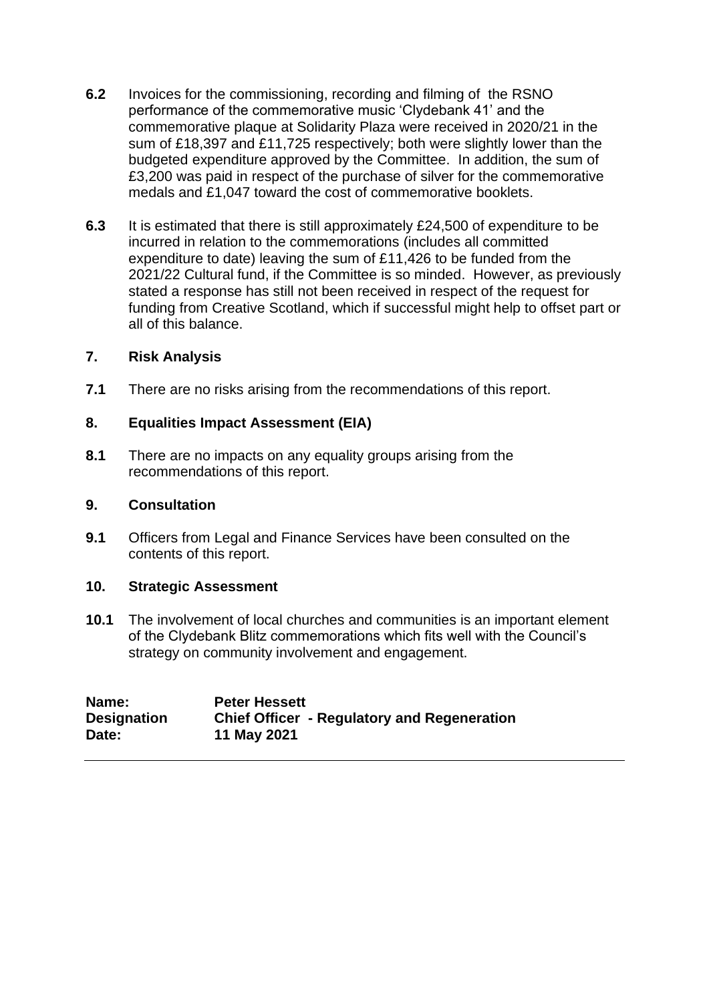- **6.2** Invoices for the commissioning, recording and filming of the RSNO performance of the commemorative music 'Clydebank 41' and the commemorative plaque at Solidarity Plaza were received in 2020/21 in the sum of £18,397 and £11,725 respectively; both were slightly lower than the budgeted expenditure approved by the Committee. In addition, the sum of £3,200 was paid in respect of the purchase of silver for the commemorative medals and £1,047 toward the cost of commemorative booklets.
- **6.3** It is estimated that there is still approximately £24,500 of expenditure to be incurred in relation to the commemorations (includes all committed expenditure to date) leaving the sum of £11,426 to be funded from the 2021/22 Cultural fund, if the Committee is so minded. However, as previously stated a response has still not been received in respect of the request for funding from Creative Scotland, which if successful might help to offset part or all of this balance.

### **7. Risk Analysis**

**7.1** There are no risks arising from the recommendations of this report.

## **8. Equalities Impact Assessment (EIA)**

**8.1** There are no impacts on any equality groups arising from the recommendations of this report.

### **9. Consultation**

**9.1** Officers from Legal and Finance Services have been consulted on the contents of this report.

### **10. Strategic Assessment**

**10.1** The involvement of local churches and communities is an important element of the Clydebank Blitz commemorations which fits well with the Council's strategy on community involvement and engagement.

| Name:              | <b>Peter Hessett</b>                               |
|--------------------|----------------------------------------------------|
| <b>Designation</b> | <b>Chief Officer - Regulatory and Regeneration</b> |
| Date:              | 11 May 2021                                        |